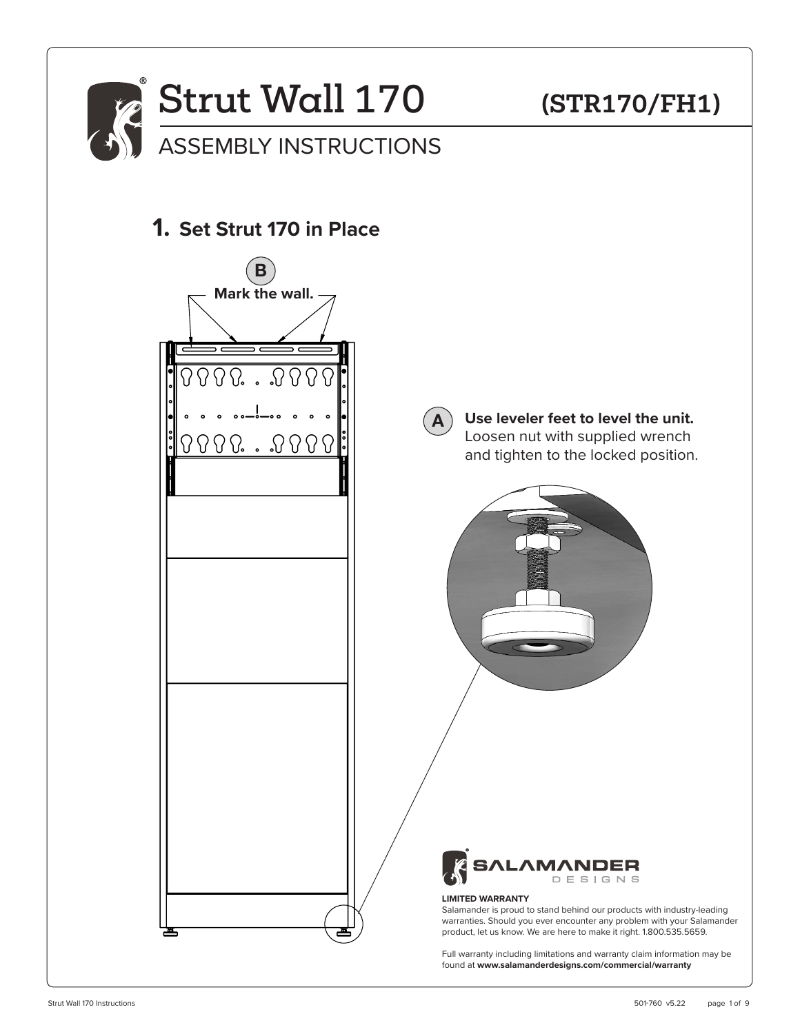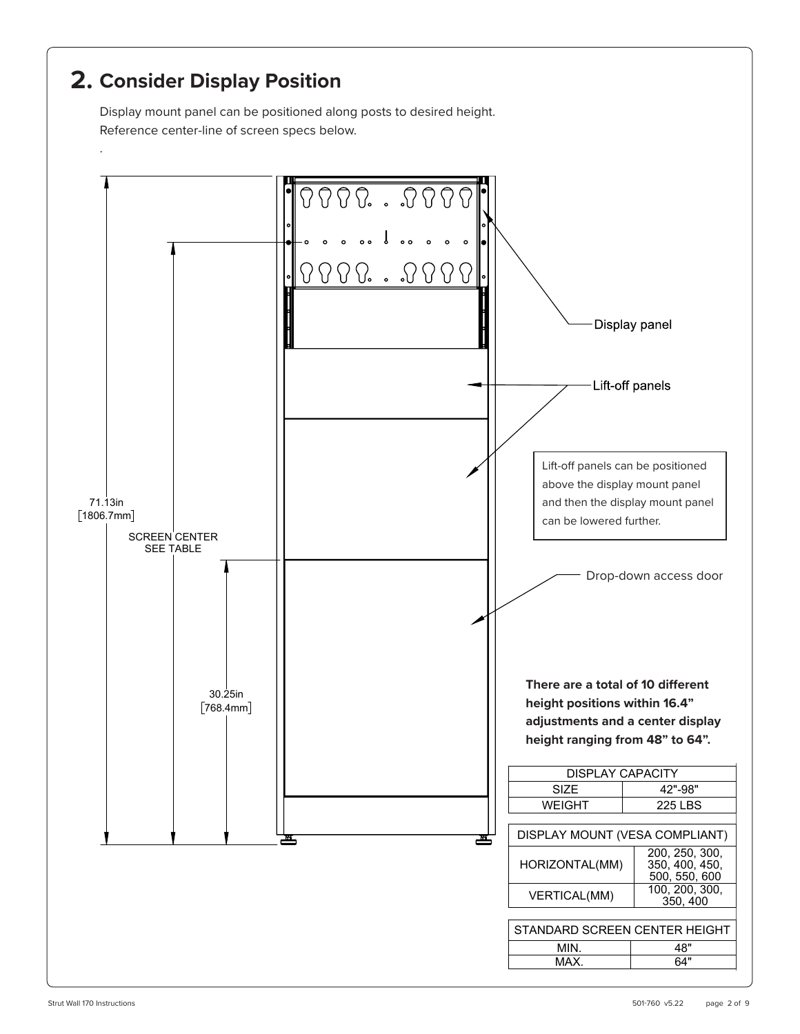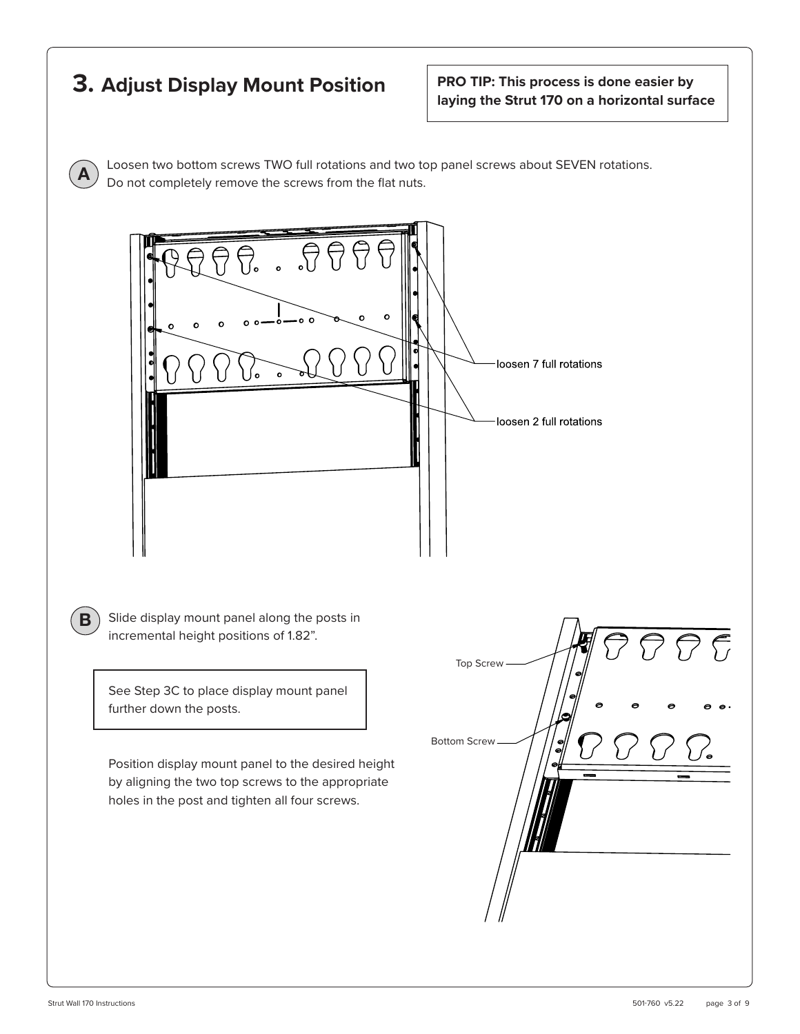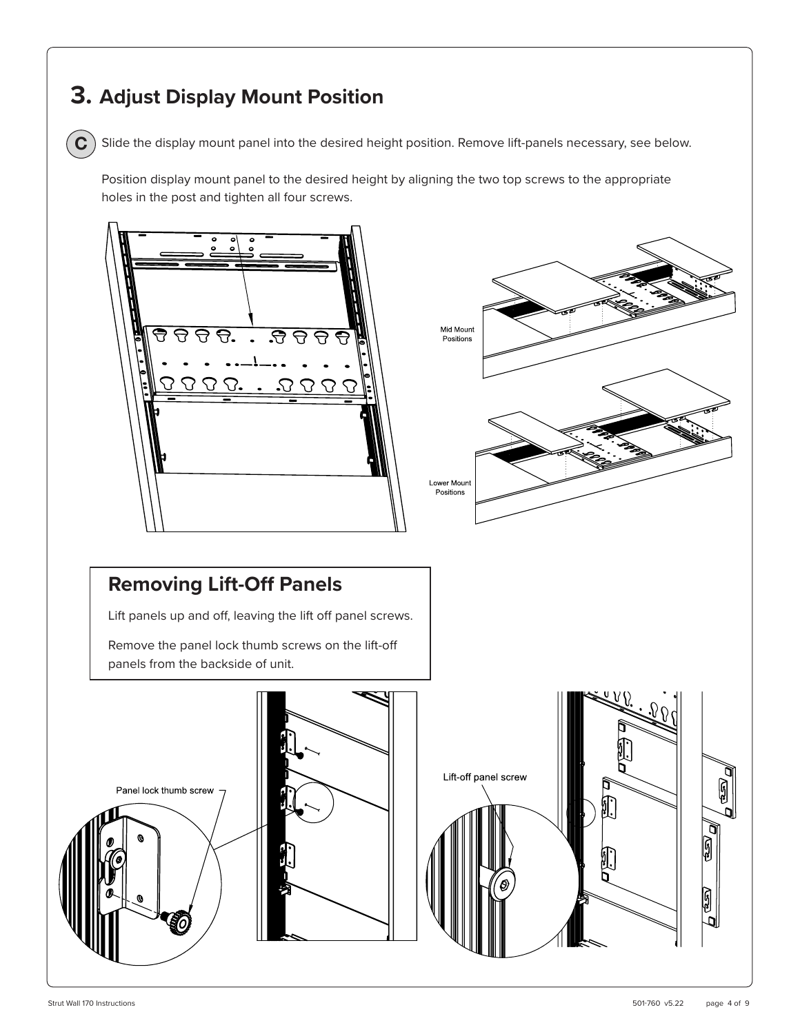## **3. Adjust Display Mount Position**

**C**

Slide the display mount panel into the desired height position. Remove lift-panels necessary, see below.

Position display mount panel to the desired height by aligning the two top screws to the appropriate holes in the post and tighten all four screws.

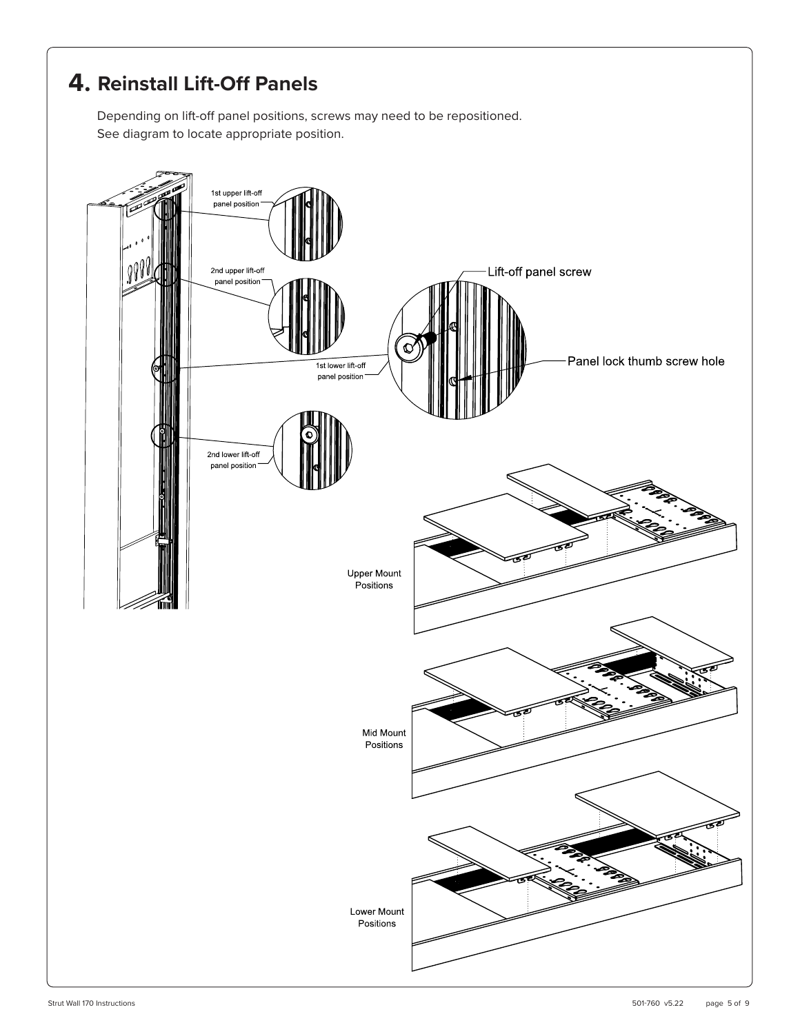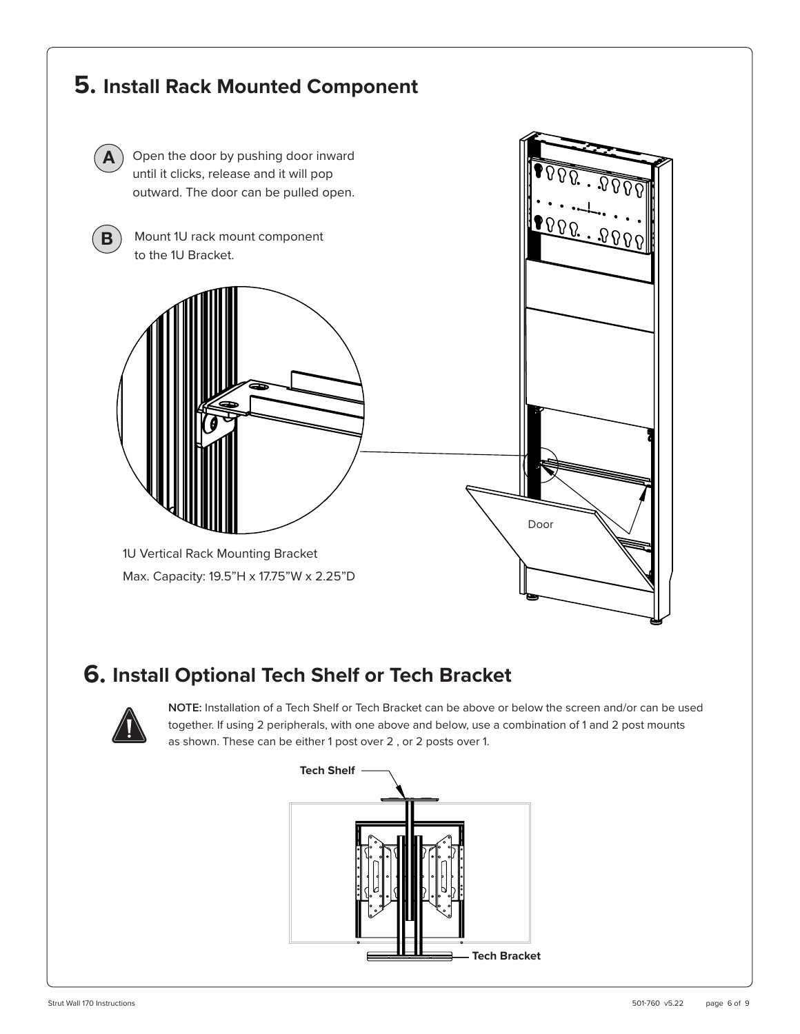

## **6. Install Optional Tech Shelf or Tech Bracket**



**NOTE:** Installation of a Tech Shelf or Tech Bracket can be above or below the screen and/or can be used together. If using 2 peripherals, with one above and below, use a combination of 1 and 2 post mounts as shown. These can be either 1 post over 2 , or 2 posts over 1.

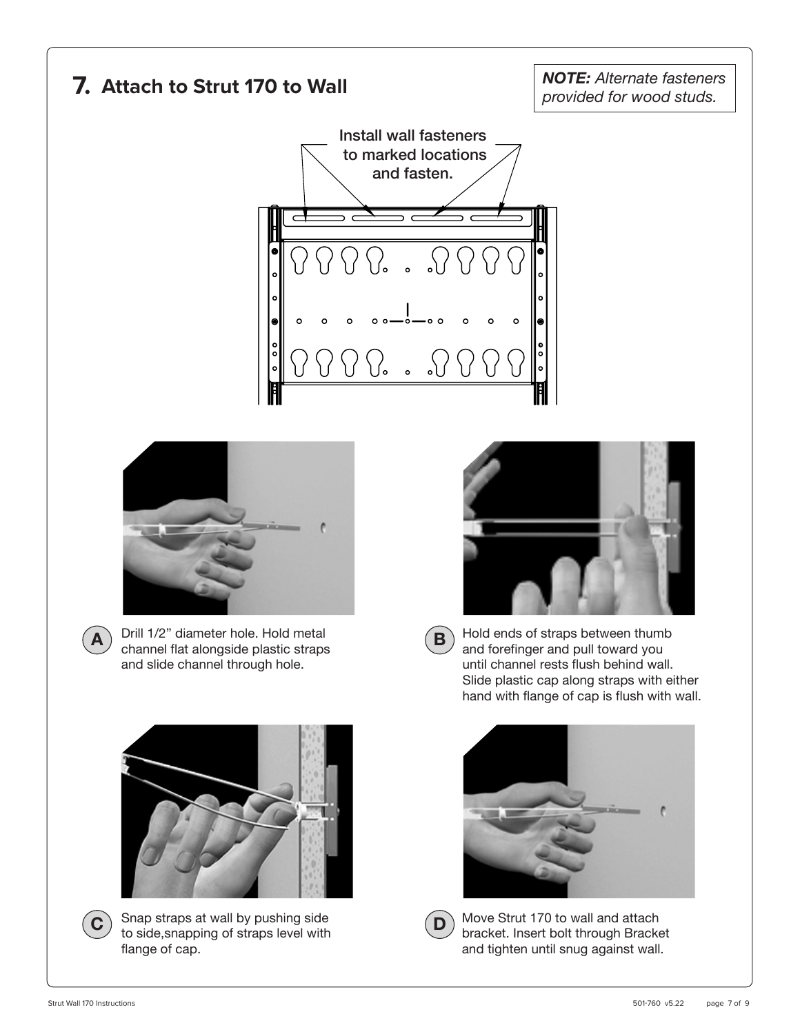



Snap straps at wall by pushing side C **C b** straps at wall by pushing side<br>to side, snapping of straps level with flange of cap.



Move Strut 170 to wall and attach bracket. Insert bolt through Bracket and tighten until snug against wall.